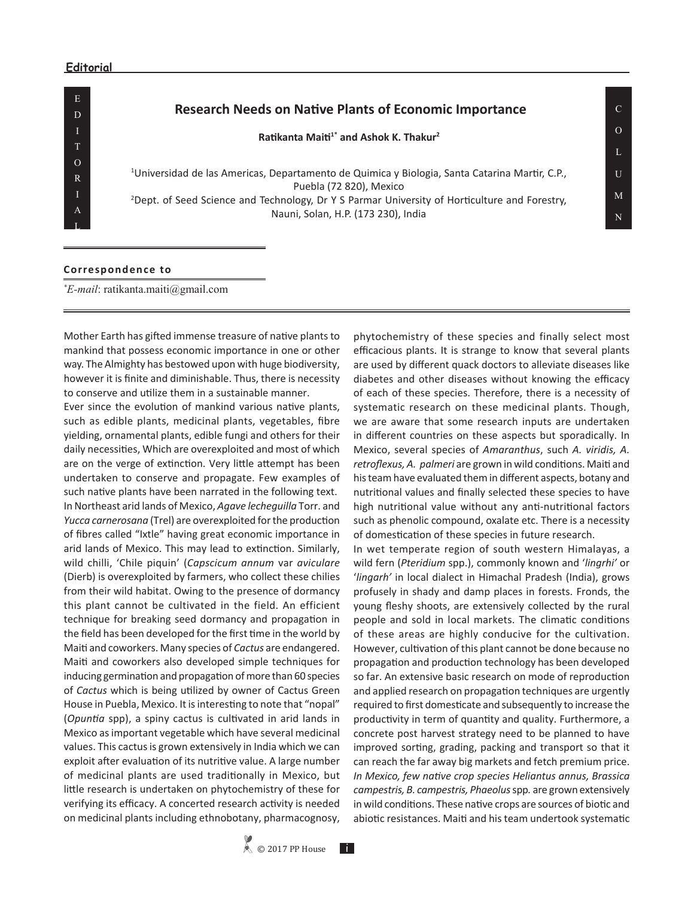## **Editorial**

E D I T O R

A L

## **Research Needs on Native Plants of Economic Importance**

**Ratikanta Maiti1\* and Ashok K. Thakur<sup>2</sup>**

1 Universidad de las Americas, Departamento de Quimica y Biologia, Santa Catarina Martir, C.P., Puebla (72 820), Mexico 2 Dept. of Seed Science and Technology, Dr Y S Parmar University of Horticulture and Forestry,

Nauni, Solan, H.P. (173 230), India

## **Correspondence to**

*\* E-mail*: ratikanta.maiti@gmail.com

Mother Earth has gifted immense treasure of native plants to mankind that possess economic importance in one or other way. The Almighty has bestowed upon with huge biodiversity, however it is finite and diminishable. Thus, there is necessity to conserve and utilize them in a sustainable manner.

Ever since the evolution of mankind various native plants, such as edible plants, medicinal plants, vegetables, fibre yielding, ornamental plants, edible fungi and others for their daily necessities, Which are overexploited and most of which are on the verge of extinction. Very little attempt has been undertaken to conserve and propagate. Few examples of such native plants have been narrated in the following text. In Northeast arid lands of Mexico, *Agave lecheguilla* Torr. and *Yucca carnerosana* (Trel) are overexploited for the production of fibres called "Ixtle" having great economic importance in arid lands of Mexico. This may lead to extinction. Similarly, wild chilli, 'Chile piquin' (*Capscicum annum* var *aviculare* (Dierb) is overexploited by farmers, who collect these chilies from their wild habitat. Owing to the presence of dormancy this plant cannot be cultivated in the field. An efficient technique for breaking seed dormancy and propagation in the field has been developed for the first time in the world by Maiti and coworkers. Many species of *Cactus* are endangered. Maiti and coworkers also developed simple techniques for inducing germination and propagation of more than 60 species of *Cactus* which is being utilized by owner of Cactus Green House in Puebla, Mexico. It is interesting to note that "nopal" (*Opuntia* spp), a spiny cactus is cultivated in arid lands in Mexico as important vegetable which have several medicinal values. This cactus is grown extensively in India which we can exploit after evaluation of its nutritive value. A large number of medicinal plants are used traditionally in Mexico, but little research is undertaken on phytochemistry of these for verifying its efficacy. A concerted research activity is needed on medicinal plants including ethnobotany, pharmacognosy,

phytochemistry of these species and finally select most efficacious plants. It is strange to know that several plants are used by different quack doctors to alleviate diseases like diabetes and other diseases without knowing the efficacy of each of these species. Therefore, there is a necessity of systematic research on these medicinal plants. Though, we are aware that some research inputs are undertaken in different countries on these aspects but sporadically. In Mexico, several species of *Amaranthus*, such *A. viridis, A. retroflexus, A. palmeri* are grown in wild conditions. Maiti and his team have evaluated them in different aspects, botany and nutritional values and finally selected these species to have high nutritional value without any anti-nutritional factors such as phenolic compound, oxalate etc. There is a necessity of domestication of these species in future research.

In wet temperate region of south western Himalayas, a wild fern (*Pteridium* spp.), commonly known and '*lingrhi'* or '*lingarh'* in local dialect in Himachal Pradesh (India), grows profusely in shady and damp places in forests. Fronds, the young fleshy shoots, are extensively collected by the rural people and sold in local markets. The climatic conditions of these areas are highly conducive for the cultivation. However, cultivation of this plant cannot be done because no propagation and production technology has been developed so far. An extensive basic research on mode of reproduction and applied research on propagation techniques are urgently required to first domesticate and subsequently to increase the productivity in term of quantity and quality. Furthermore, a concrete post harvest strategy need to be planned to have improved sorting, grading, packing and transport so that it can reach the far away big markets and fetch premium price. *In Mexico, few native crop species Heliantus annus, Brassica campestris, B. campestris, Phaeolus* spp*.* are grown extensively in wild conditions. These native crops are sources of biotic and abiotic resistances. Maiti and his team undertook systematic